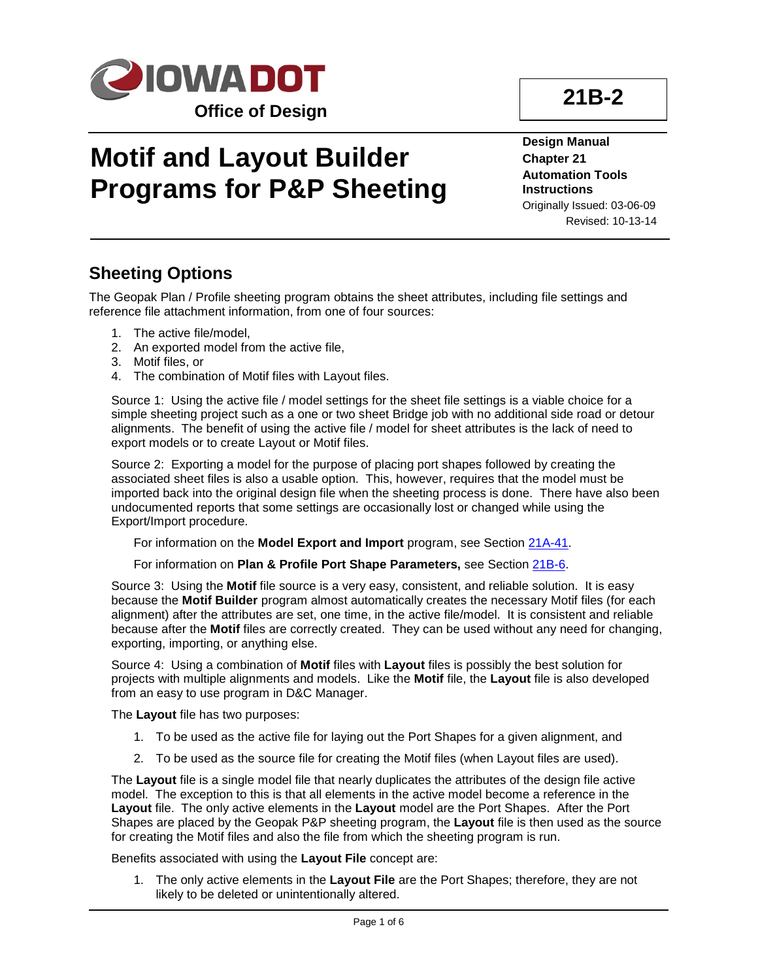

# **Motif and Layout Builder Programs for P&P Sheeting**

**Design Manual Chapter 21 Automation Tools Instructions** Originally Issued: 03-06-09 Revised: 10-13-14

#### **Sheeting Options**

The Geopak Plan / Profile sheeting program obtains the sheet attributes, including file settings and reference file attachment information, from one of four sources:

- 1. The active file/model,
- 2. An exported model from the active file,
- 3. Motif files, or
- 4. The combination of Motif files with Layout files.

Source 1: Using the active file / model settings for the sheet file settings is a viable choice for a simple sheeting project such as a one or two sheet Bridge job with no additional side road or detour alignments. The benefit of using the active file / model for sheet attributes is the lack of need to export models or to create Layout or Motif files.

Source 2: Exporting a model for the purpose of placing port shapes followed by creating the associated sheet files is also a usable option. This, however, requires that the model must be imported back into the original design file when the sheeting process is done. There have also been undocumented reports that some settings are occasionally lost or changed while using the Export/Import procedure.

For information on the **Model Export and Import** program, see Section 21A-41.

For information on **Plan & Profile Port Shape Parameters,** see Section 21B-6.

Source 3: Using the **Motif** file source is a very easy, consistent, and reliable solution. It is easy because the **Motif Builder** program almost automatically creates the necessary Motif files (for each alignment) after the attributes are set, one time, in the active file/model. It is consistent and reliable because after the **Motif** files are correctly created. They can be used without any need for changing, exporting, importing, or anything else.

Source 4: Using a combination of **Motif** files with **Layout** files is possibly the best solution for projects with multiple alignments and models. Like the **Motif** file, the **Layout** file is also developed from an easy to use program in D&C Manager.

The **Layout** file has two purposes:

- 1. To be used as the active file for laying out the Port Shapes for a given alignment, and
- 2. To be used as the source file for creating the Motif files (when Layout files are used).

The **Layout** file is a single model file that nearly duplicates the attributes of the design file active model. The exception to this is that all elements in the active model become a reference in the **Layout** file. The only active elements in the **Layout** model are the Port Shapes. After the Port Shapes are placed by the Geopak P&P sheeting program, the **Layout** file is then used as the source for creating the Motif files and also the file from which the sheeting program is run.

Benefits associated with using the **Layout File** concept are:

1. The only active elements in the **Layout File** are the Port Shapes; therefore, they are not likely to be deleted or unintentionally altered.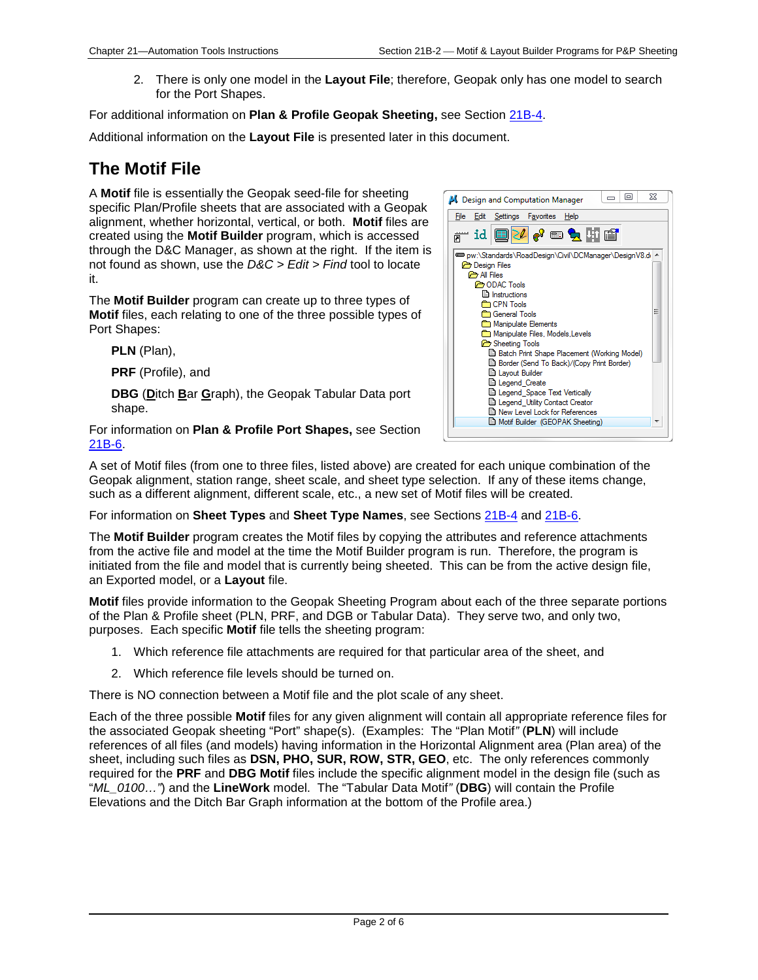2. There is only one model in the **Layout File**; therefore, Geopak only has one model to search for the Port Shapes.

For additional information on **Plan & Profile Geopak Sheeting,** see Section 21B-4.

Additional information on the **Layout File** is presented later in this document.

### **The Motif File**

A **Motif** file is essentially the Geopak seed-file for sheeting specific Plan/Profile sheets that are associated with a Geopak alignment, whether horizontal, vertical, or both. **Motif** files are created using the **Motif Builder** program, which is accessed through the D&C Manager, as shown at the right. If the item is not found as shown, use the *D&C > Edit > Find* tool to locate it.

The **Motif Builder** program can create up to three types of **Motif** files, each relating to one of the three possible types of Port Shapes:

**PLN** (Plan),

**PRF** (Profile), and

**DBG** (**D**itch **B**ar **G**raph), the Geopak Tabular Data port shape.

For information on **Plan & Profile Port Shapes,** see Section 21B-6.



A set of Motif files (from one to three files, listed above) are created for each unique combination of the Geopak alignment, station range, sheet scale, and sheet type selection. If any of these items change, such as a different alignment, different scale, etc., a new set of Motif files will be created.

For information on **Sheet Types** and **Sheet Type Names**, see Sections 21B-4 and 21B-6.

The **Motif Builder** program creates the Motif files by copying the attributes and reference attachments from the active file and model at the time the Motif Builder program is run. Therefore, the program is initiated from the file and model that is currently being sheeted. This can be from the active design file, an Exported model, or a **Layout** file.

**Motif** files provide information to the Geopak Sheeting Program about each of the three separate portions of the Plan & Profile sheet (PLN, PRF, and DGB or Tabular Data). They serve two, and only two, purposes. Each specific **Motif** file tells the sheeting program:

- 1. Which reference file attachments are required for that particular area of the sheet, and
- 2. Which reference file levels should be turned on.

There is NO connection between a Motif file and the plot scale of any sheet.

Each of the three possible **Motif** files for any given alignment will contain all appropriate reference files for the associated Geopak sheeting "Port" shape(s). (Examples: The "Plan Motif*"* (**PLN**) will include references of all files (and models) having information in the Horizontal Alignment area (Plan area) of the sheet, including such files as **DSN, PHO, SUR, ROW, STR, GEO**, etc. The only references commonly required for the **PRF** and **DBG Motif** files include the specific alignment model in the design file (such as "*ML\_0100…"*) and the **LineWork** model. The "Tabular Data Motif*"* (**DBG**) will contain the Profile Elevations and the Ditch Bar Graph information at the bottom of the Profile area.)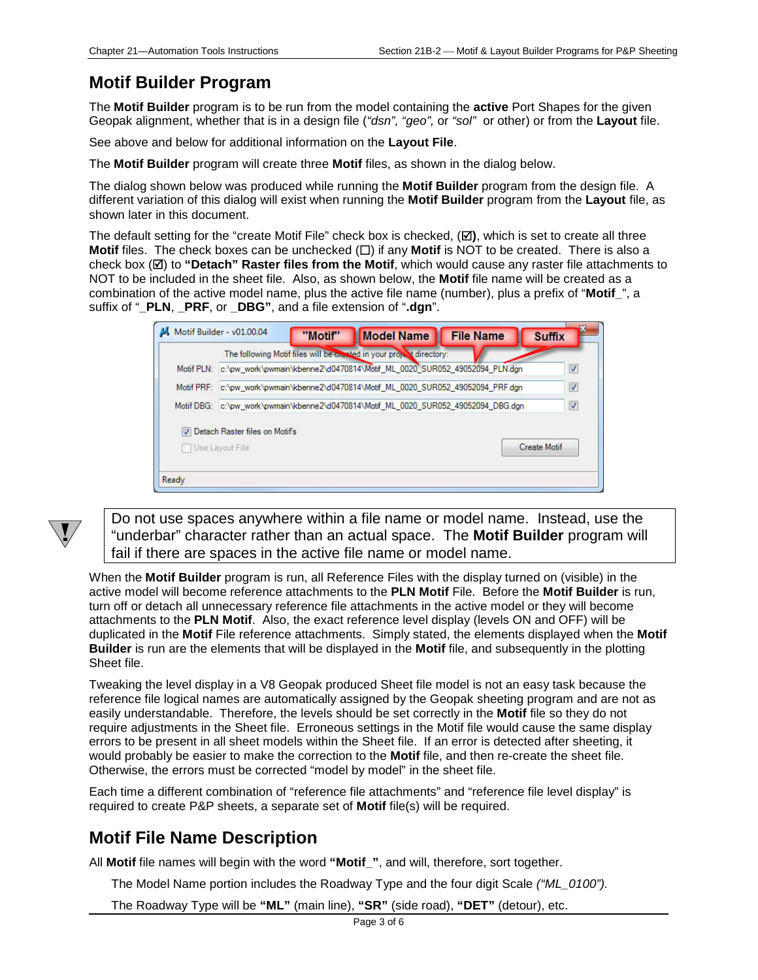#### **Motif Builder Program**

The **Motif Builder** program is to be run from the model containing the **active** Port Shapes for the given Geopak alignment, whether that is in a design file (*"dsn", "geo",* or *"sol"* or other) or from the **Layout** file.

See above and below for additional information on the **Layout File**.

The **Motif Builder** program will create three **Motif** files, as shown in the dialog below.

The dialog shown below was produced while running the **Motif Builder** program from the design file. A different variation of this dialog will exist when running the **Motif Builder** program from the **Layout** file, as shown later in this document.

The default setting for the "create Motif File" check box is checked,  $(\boxtimes)$ , which is set to create all three **Motif** files. The check boxes can be unchecked  $(\Box)$  if any **Motif** is NOT to be created. There is also a check box ( $\boxtimes$ ) to "Detach" Raster files from the Motif, which would cause any raster file attachments to NOT to be included in the sheet file. Also, as shown below, the **Motif** file name will be created as a combination of the active model name, plus the active file name (number), plus a prefix of "**Motif\_**", a suffix of "**\_PLN**, **\_PRF**, or **\_DBG"**, and a file extension of "**.dgn**".

|                                                                                        | The following Motif files will be created in your project directory:     |                  |                     |
|----------------------------------------------------------------------------------------|--------------------------------------------------------------------------|------------------|---------------------|
| Motif PLN:                                                                             | c:\pw_work\pwmain\kbenne2\d0470814\Motif_ML_0020_SUR052_49052094_PLN.dgn |                  | V                   |
| c:\pw_work\pwmain\kbenne2\d0470814\Motif_ML_0020_SUR052_49052094_PRF.dgn<br>Motif PRF: |                                                                          | $\boldsymbol{J}$ |                     |
| Motif DBG.                                                                             | c:\pw_work\pwmain\kbenne2\d0470814\Motif_ML_0020_SUR052_49052094_DBG.dgn |                  | $\overline{v}$      |
|                                                                                        | V Detach Raster files on Motif's                                         |                  |                     |
|                                                                                        | Use Layout File                                                          |                  | <b>Create Motif</b> |



Do not use spaces anywhere within a file name or model name. Instead, use the "underbar" character rather than an actual space. The **Motif Builder** program will fail if there are spaces in the active file name or model name.

When the **Motif Builder** program is run, all Reference Files with the display turned on (visible) in the active model will become reference attachments to the **PLN Motif** File. Before the **Motif Builder** is run, turn off or detach all unnecessary reference file attachments in the active model or they will become attachments to the **PLN Motif**. Also, the exact reference level display (levels ON and OFF) will be duplicated in the **Motif** File reference attachments. Simply stated, the elements displayed when the **Motif Builder** is run are the elements that will be displayed in the **Motif** file, and subsequently in the plotting Sheet file.

Tweaking the level display in a V8 Geopak produced Sheet file model is not an easy task because the reference file logical names are automatically assigned by the Geopak sheeting program and are not as easily understandable. Therefore, the levels should be set correctly in the **Motif** file so they do not require adjustments in the Sheet file. Erroneous settings in the Motif file would cause the same display errors to be present in all sheet models within the Sheet file. If an error is detected after sheeting, it would probably be easier to make the correction to the **Motif** file, and then re-create the sheet file. Otherwise, the errors must be corrected "model by model" in the sheet file.

Each time a different combination of "reference file attachments" and "reference file level display" is required to create P&P sheets, a separate set of **Motif** file(s) will be required.

#### **Motif File Name Description**

All **Motif** file names will begin with the word **"Motif\_"**, and will, therefore, sort together.

The Model Name portion includes the Roadway Type and the four digit Scale *("ML\_0100").*

The Roadway Type will be **"ML"** (main line), **"SR"** (side road), **"DET"** (detour), etc.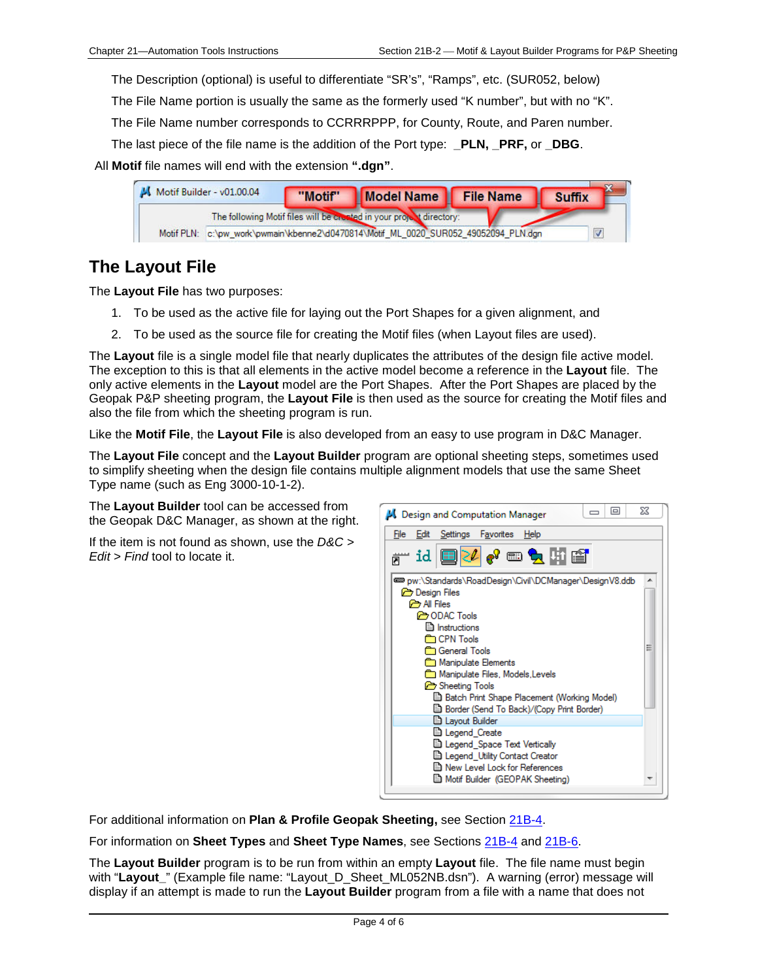The Description (optional) is useful to differentiate "SR's", "Ramps", etc. (SUR052, below)

The File Name portion is usually the same as the formerly used "K number", but with no "K".

The File Name number corresponds to CCRRRPPP, for County, Route, and Paren number.

The last piece of the file name is the addition of the Port type: **PLN, PRF,** or **DBG**.

All **Motif** file names will end with the extension **".dgn"**.

|            | $M$ Motif Builder - v01.00.04 | "Motif" | Model Name File Name                                                     | <b>Suffix</b> |
|------------|-------------------------------|---------|--------------------------------------------------------------------------|---------------|
|            |                               |         | The following Motif files will be created in your project directory:     |               |
| Motif PLN: |                               |         | c:\pw_work\pwmain\kbenne2\d0470814\Motif_ML_0020_SUR052_49052094_PLN.dgn |               |

#### **The Layout File**

The **Layout File** has two purposes:

- 1. To be used as the active file for laying out the Port Shapes for a given alignment, and
- 2. To be used as the source file for creating the Motif files (when Layout files are used).

The **Layout** file is a single model file that nearly duplicates the attributes of the design file active model. The exception to this is that all elements in the active model become a reference in the **Layout** file. The only active elements in the **Layout** model are the Port Shapes. After the Port Shapes are placed by the Geopak P&P sheeting program, the **Layout File** is then used as the source for creating the Motif files and also the file from which the sheeting program is run.

Like the **Motif File**, the **Layout File** is also developed from an easy to use program in D&C Manager.

The **Layout File** concept and the **Layout Builder** program are optional sheeting steps, sometimes used to simplify sheeting when the design file contains multiple alignment models that use the same Sheet Type name (such as Eng 3000-10-1-2).

The **Layout Builder** tool can be accessed from the Geopak D&C Manager, as shown at the right.

If the item is not found as shown, use the *D&C > Edit > Find* tool to locate it.



For additional information on **Plan & Profile Geopak Sheeting,** see Section 21B-4.

For information on **Sheet Types** and **Sheet Type Names**, see Sections 21B-4 and 21B-6.

The **Layout Builder** program is to be run from within an empty **Layout** file. The file name must begin with "**Layout\_**" (Example file name: "Layout\_D\_Sheet\_ML052NB.dsn"). A warning (error) message will display if an attempt is made to run the **Layout Builder** program from a file with a name that does not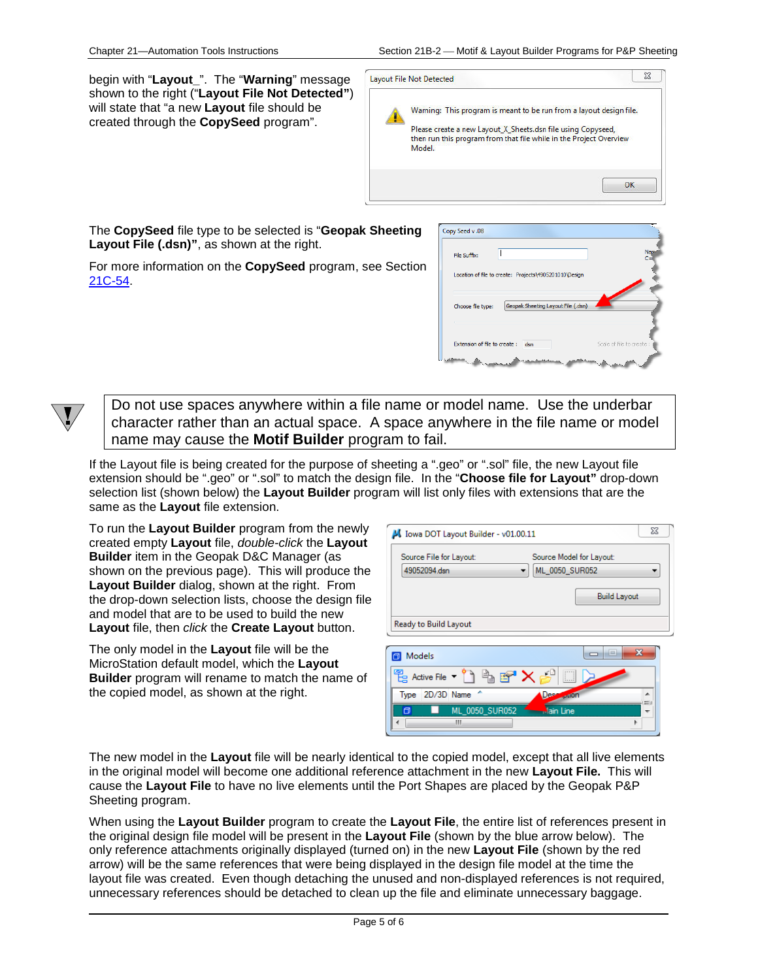begin with "**Layout\_**". The "**Warning**" message shown to the right ("**Layout File Not Detected"**) will state that "a new **Layout** file should be created through the **CopySeed** program".

| Layout File Not Detected                                                                                                                     |  |
|----------------------------------------------------------------------------------------------------------------------------------------------|--|
| Warning: This program is meant to be run from a layout design file.                                                                          |  |
| Please create a new Layout_X_Sheets.dsn file using Copyseed,<br>then run this program from that file while in the Project Overview<br>Model. |  |
|                                                                                                                                              |  |
| $\alpha$                                                                                                                                     |  |

The **CopySeed** file type to be selected is "**Geopak Sheeting Layout File (.dsn)"**, as shown at the right.

For more information on the **CopySeed** program, see Section 21C-54.

| File Suffix:                 |                                                        | Nam<br>C=                 |
|------------------------------|--------------------------------------------------------|---------------------------|
|                              | Location of file to create: Projects\4905201010\Design |                           |
| Choose file type:            | Geopak Sheeting Layout File (.dsn)                     |                           |
| Extension of file to create: | dsn                                                    | Scale of file to create : |

Do not use spaces anywhere within a file name or model name. Use the underbar character rather than an actual space. A space anywhere in the file name or model name may cause the **Motif Builder** program to fail.

If the Layout file is being created for the purpose of sheeting a ".geo" or ".sol" file, the new Layout file extension should be ".geo" or ".sol" to match the design file. In the "**Choose file for Layout"** drop-down selection list (shown below) the **Layout Builder** program will list only files with extensions that are the same as the **Layout** file extension.

To run the **Layout Builder** program from the newly created empty **Layout** file, *double-click* the **Layout Builder** item in the Geopak D&C Manager (as shown on the previous page). This will produce the **Layout Builder** dialog, shown at the right. From the drop-down selection lists, choose the design file and model that are to be used to build the new **Layout** file, then *click* the **Create Layout** button.

The only model in the **Layout** file will be the MicroStation default model, which the **Layout Builder** program will rename to match the name of the copied model, as shown at the right.

| Source File for Layout: | Source Model for Layout: |
|-------------------------|--------------------------|
| 49052094.dsn            | ML_0050_SUR052           |
|                         | <b>Build Layout</b>      |
| Ready to Build Layout   |                          |

| Models                           |  |
|----------------------------------|--|
| Active File $\blacktriangledown$ |  |
| 2D/3D Name ^<br>Type             |  |
| ML 0050 SUR052<br>ain Line       |  |
|                                  |  |

The new model in the **Layout** file will be nearly identical to the copied model, except that all live elements in the original model will become one additional reference attachment in the new **Layout File.** This will cause the **Layout File** to have no live elements until the Port Shapes are placed by the Geopak P&P Sheeting program.

When using the **Layout Builder** program to create the **Layout File**, the entire list of references present in the original design file model will be present in the **Layout File** (shown by the blue arrow below). The only reference attachments originally displayed (turned on) in the new **Layout File** (shown by the red arrow) will be the same references that were being displayed in the design file model at the time the layout file was created. Even though detaching the unused and non-displayed references is not required, unnecessary references should be detached to clean up the file and eliminate unnecessary baggage.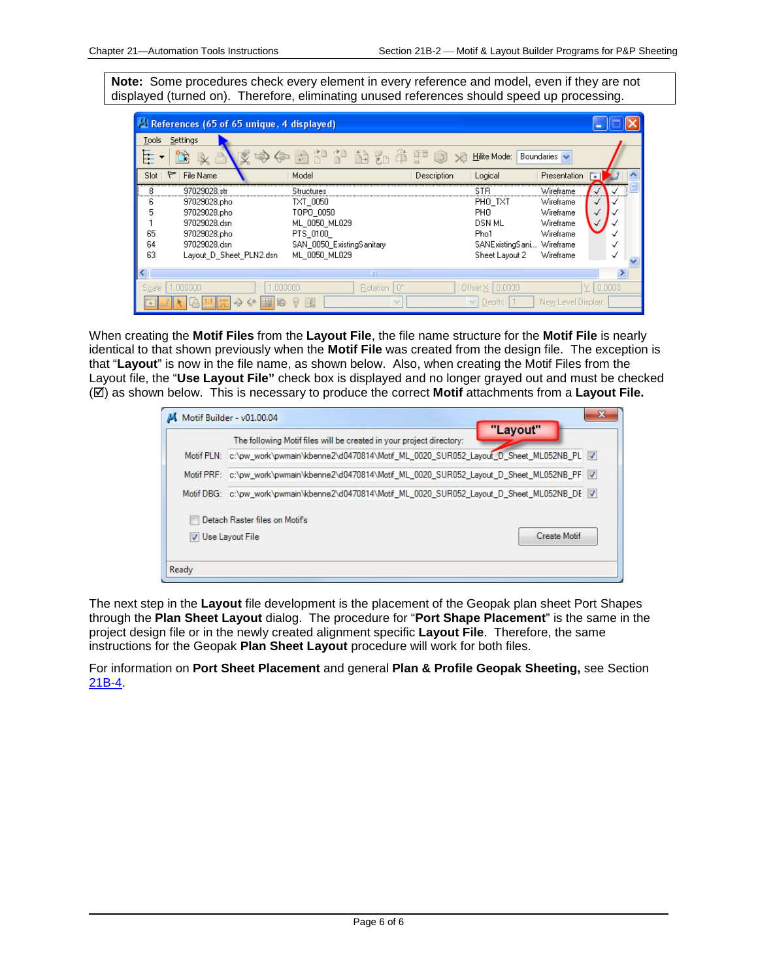**Note:** Some procedures check every element in every reference and model, even if they are not displayed (turned on). Therefore, eliminating unused references should speed up processing.

|                               | References (65 of 65 unique, 4 displayed)                                                                               |                                                                                                                |                                    |             |                                                                                                           |                                                                            |        |  |
|-------------------------------|-------------------------------------------------------------------------------------------------------------------------|----------------------------------------------------------------------------------------------------------------|------------------------------------|-------------|-----------------------------------------------------------------------------------------------------------|----------------------------------------------------------------------------|--------|--|
| Tools<br>Œ                    | Settings                                                                                                                | 协作内部 计南无手口                                                                                                     |                                    |             | Hilite Mode:                                                                                              | Boundaries $\vee$                                                          |        |  |
| Slot                          | File Name<br>۴                                                                                                          | Model                                                                                                          |                                    | Description | Logical                                                                                                   | <b>Presentation</b>                                                        | Г.     |  |
| 8<br>6<br>5<br>65<br>64<br>63 | 97029028.str<br>97029028.pho<br>97029028.pho<br>97029028.dsn<br>97029028.pho<br>97029028.dsn<br>Lavout D Sheet PLN2.dsn | Structures<br>TXT 0050<br>TOPO 0050<br>ML 0050 ML029<br>PTS 0100<br>SAN 0050 ExistingSanitary<br>ML 0050 ML029 |                                    |             | STR<br>PHO_TXT<br>PH <sub>0</sub><br><b>DSN ML</b><br>Pho1<br>SANExistingSani Wireframe<br>Sheet Layout 2 | Wireframe<br>Wireframe<br>Wireframe<br>Wireframe<br>Wireframe<br>Wireframe | √      |  |
|                               |                                                                                                                         |                                                                                                                | <b>TITL</b>                        |             |                                                                                                           |                                                                            |        |  |
| Scale                         | 1.000000<br>$\leq$                                                                                                      | nnnnn<br>$\sim$                                                                                                | l n°<br>Rotation  <br>$\checkmark$ |             | Offset $\times$ 0.0000<br>Depth:<br>$\vee$                                                                | New Level Display:                                                         | 0.0000 |  |

When creating the **Motif Files** from the **Layout File**, the file name structure for the **Motif File** is nearly identical to that shown previously when the **Motif File** was created from the design file. The exception is that "**Layout**" is now in the file name, as shown below. Also, when creating the Motif Files from the Layout file, the "**Use Layout File"** check box is displayed and no longer grayed out and must be checked () as shown below. This is necessary to produce the correct **Motif** attachments from a **Layout File.**

| c:\pw_work\pwmain\kbenne2\d0470814\Motif_ML_0020_SUR052_Layout_D_Sheet_ML052NB_PL V |                                                                                                                                                                                                                                                                               |
|-------------------------------------------------------------------------------------|-------------------------------------------------------------------------------------------------------------------------------------------------------------------------------------------------------------------------------------------------------------------------------|
|                                                                                     |                                                                                                                                                                                                                                                                               |
|                                                                                     |                                                                                                                                                                                                                                                                               |
|                                                                                     |                                                                                                                                                                                                                                                                               |
|                                                                                     |                                                                                                                                                                                                                                                                               |
|                                                                                     | Motif PRF: c:\pw_work\pwmain\kbenne2\d0470814\Motif_ML_0020_SUR052_Layout_D_Sheet_ML052NB_PF_V<br>Motif DBG: c:\pw_work\pwmain\kbenne2\d0470814\Motif_ML_0020_SUR052_Layout_D_Sheet_ML052NB_DE V<br>Detach Raster files on Motifs<br><b>Create Motif</b><br>V Use Layout File |

The next step in the **Layout** file development is the placement of the Geopak plan sheet Port Shapes through the **Plan Sheet Layout** dialog. The procedure for "**Port Shape Placement**" is the same in the project design file or in the newly created alignment specific **Layout File**. Therefore, the same instructions for the Geopak **Plan Sheet Layout** procedure will work for both files.

For information on **Port Sheet Placement** and general **Plan & Profile Geopak Sheeting,** see Section 21B-4.